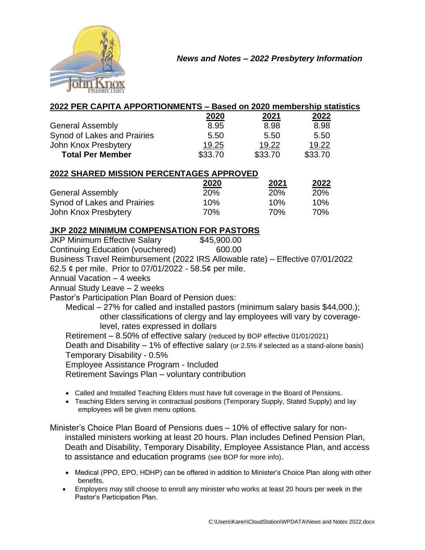

|  |  | 2022 PER CAPITA APPORTIONMENTS - Based on 2020 membership statistics |
|--|--|----------------------------------------------------------------------|
|--|--|----------------------------------------------------------------------|

|                             | 2020    | 2021    | 2022    |
|-----------------------------|---------|---------|---------|
| <b>General Assembly</b>     | 8.95    | 8.98    | 8.98    |
| Synod of Lakes and Prairies | 5.50    | 5.50    | 5.50    |
| John Knox Presbytery        | 19.25   | 19.22   | 19.22   |
| <b>Total Per Member</b>     | \$33.70 | \$33.70 | \$33.70 |

## **2022 SHARED MISSION PERCENTAGES APPROVED**

|                             | 2020       | 2021       | 2022 |
|-----------------------------|------------|------------|------|
| <b>General Assembly</b>     | <b>20%</b> | <b>20%</b> | 20%  |
| Synod of Lakes and Prairies | 10%        | 10%        | 10%  |
| John Knox Presbytery        | 70%        | 70%        | 70%  |

## **JKP 2022 MINIMUM COMPENSATION FOR PASTORS**

JKP Minimum Effective Salary \$45,900.00 Continuing Education (vouchered) 600.00 Business Travel Reimbursement (2022 IRS Allowable rate) – Effective 07/01/2022 62.5 ¢ per mile. Prior to 07/01/2022 - 58.5¢ per mile. Annual Vacation – 4 weeks Annual Study Leave – 2 weeks Pastor's Participation Plan Board of Pension dues: Medical – 27% for called and installed pastors (minimum salary basis \$44,000.); other classifications of clergy and lay employees will vary by coveragelevel, rates expressed in dollars Retirement – 8.50% of effective salary (reduced by BOP effective 01/01/2021) Death and Disability – 1% of effective salary (or 2.5% if selected as a stand-alone basis) Temporary Disability - 0.5%

Employee Assistance Program - Included

Retirement Savings Plan – voluntary contribution

- Called and Installed Teaching Elders must have full coverage in the Board of Pensions.
- Teaching Elders serving in contractual positions (Temporary Supply, Stated Supply) and lay employees will be given menu options.

Minister's Choice Plan Board of Pensions dues – 10% of effective salary for noninstalled ministers working at least 20 hours. Plan includes Defined Pension Plan, Death and Disability, Temporary Disability, Employee Assistance Plan, and access to assistance and education programs (see BOP for more info).

- Medical (PPO, EPO, HDHP) can be offered in addition to Minister's Choice Plan along with other benefits.
- Employers may still choose to enroll any minister who works at least 20 hours per week in the Pastor's Participation Plan.